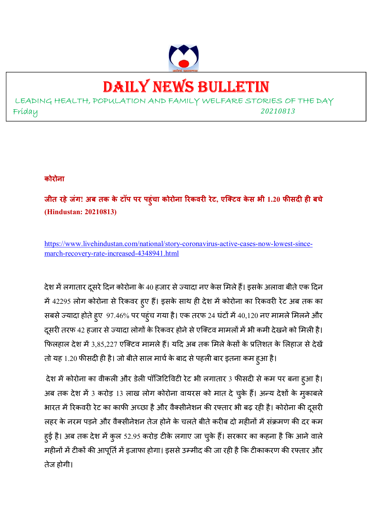

# DAILY NEWS BULLETIN

LEADING HEALTH, POPULATION AND FAMILY WELFARE STORIES OF THE DAY Friday *<sup>20210813</sup>*

#### **कोरोना**

**जीत रहेजंग! अब तक के टॉप पर पहुंचा कोरोना रकवर रेट, एिटव के स भी 1.20 फसद ह बचे (Hindustan: 20210813)** 

https://www.livehindustan.com/national/story-coronavirus-active-cases-now-lowest-sincemarch-recovery-rate-increased-4348941.html

देश में लगातार दूसरे दिन कोरोना के 40 हजार से ज्यादा नए केस मिले हैं। इसके अलावा बीते एक दिन में 42295 लोग कोरोना से रिकवर हुए हैं। इसके साथ ही देश में कोरोना का रिकवरी रेट अब तक का सबसे ज्यादा होते हुए 97.46% पर पहुंच गया है। एक तरफ 24 घंटों में 40,120 नए मामले मिलने और दूसरी तरफ 42 हजार से ज्यादा लोगों के रिकवर होने से एक्टिव मामलों में भी कमी देखने को मिली है। फिलहाल देश में 3,85,227 एक्टिव मामले हैं। यदि अब तक मिले केसों के प्रतिशत के लिहाज से देखें तो यह 1.20 फीसदी ही है। जो बीते साल मार्च के बाद से पहली बार इतना कम हुआ है।

देश में कोरोना का वीकली और डेली पॉजिटिविटी रेट भी लगातार 3 फीसदी से कम पर बना हुआ है। अब तक देश में 3 करोड़ 13 लाख लोग कोरोना वायरस को मात दे चुके हैं। अन्य देशों के मुकाबले भारत में रिकवरी रेट का काफी अच्छा है और वैक्सीनेशन की रफ्तार भी बढ़ रही है। कोरोना की दुसरी लहर के नरम पड़ने और वैक्सीनेशन तेज होने के चलते बीते करीब दो महीनों में संक्रमण की दर कम हुई है। अब तक देश में कुल 52.95 करोड़ टीके लगाए जा चुके हैं। सरकार का कहना है कि आने वाले महीनों में टीकों की आपूर्ति में इजाफा होगा। इससे उम्मीद की जा रही है कि टीकाकरण की रफ्तार और तेज होगी।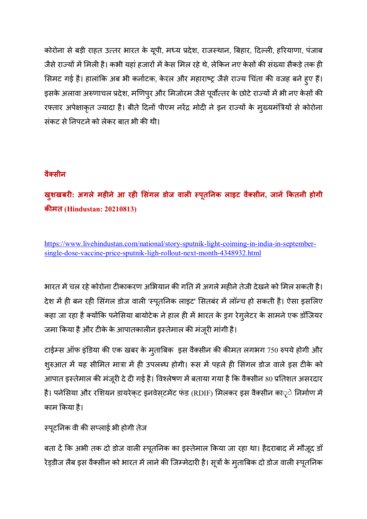कोरोना से बड़ी राहत उत्तर भारत के यूपी, मध्य प्रदेश, राजस्थान, बिहार, दिल्ली, हरियाणा, पंजाब जैसे राज्यों में मिली है। कभी यहां हजारों में केस मिल रहे थे, लेकिन नए केसों की संख्या सैकड़े तक ही सिमट गई है। हालांकि अब भी कर्नाटक, केरल और महाराष्ट्र जैसे राज्य चिंता की वजह बने हुए हैं। इसके अलावा अरुणाचल प्रदेश, मणिपुर और मिजोरम जैसे पूर्वोत्तर के छोटे राज्यों में भी नए केसों की रफ्तार अपेक्षाकृत ज्यादा है। बीते दिनों पीएम नरेंद्र मोदी ने इन राज्यों के मुख्यमंत्रियों से कोरोना संकट से निपटने को लेकर बात भी की थी।

# **वैसीन**

# **खुशखबर: अगलेमहनेआ रह &स ंगल डोज वाल (पूत\*नक लाइट वैसीन, जान,-कतनी होगी कमत (Hindustan: 20210813)**

https://www.livehindustan.com/national/story-sputnik-light-coiming-in-india-in-septembersingle-dose-vaccine-price-sputnik-ligh-rollout-next-month-4348932.html

भारत में चल रहे कोरोना टीकाकरण अभियान की गति में अगले महीने तेजी देखने को मिल सकती है। देश में ही बन रही सिंगल डोज वाली 'स्पूतनिक लाइट' सितबंर में लॉन्च हो सकती है। ऐसा इसलिए कहा जा रहा है क्योंकि पनेसिया बायोटेक ने हाल ही में भारत के ड्रग रेगुलेटर के सामने एक डॉजियर जमा किया है और टीके के आपातकालीन इस्तेमाल की मंजूरी मांगी है।

टाईम्स ऑफ इंडिया की एक खबर के मुताबिक इस वैक्सीन की कीमत लगभग 750 रुपये होगी और शुरुआत में यह सीमित मात्रा में ही उपलब्ध होगी। रूस में पहले ही सिंगल डोज वाले इस टीके को आपात इस्तेमाल की मंजूरी दे दी गई है। विश्लेषण में बताया गया है कि वैक्सीन 80 प्रतिशत असरदार है। पनेसिया और रशियन डायरेक्ट इनवेस्टमेंट फंड (RDIF) मिलकर इस वैक्सीन काृ**े** निर्माण में काम 0कया है।

# स्पूटनिक वी की सप्लाई भी होगी तेज

बता दें कि अभी तक दो डोज वाली स्पूतनिक का इस्तेमाल किया जा रहा था। हैदराबाद में मौजूद डॉ रेड्डीज लैब इस वैक्सीन को भारत में लाने की जिम्मेदारी है। सूत्रों के मुताबिक दो डोज वाली स्पूतनिक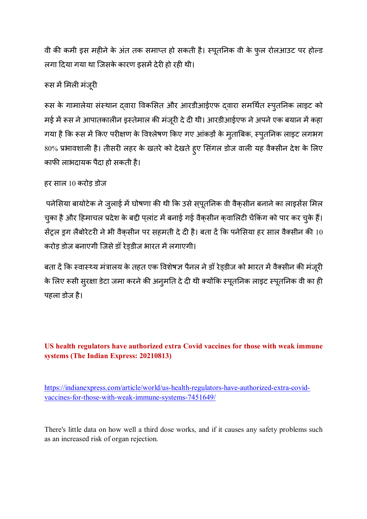वी की कमी इस महीने के अंत तक समाप्त हो सकती है। स्पूतनिक वी के फूल रोलआउट पर होल्ड लगा दिया गया था जिसके कारण इसमें देरी हो रही थी।

# रूस में मिली मंजूरी

रूस के गामालेया संस्थान दवारा विकसित और आरडीआईएफ दवारा समर्थित स्पुतनिक लाइट को मई में रूस ने आपातकालीन इस्तेमाल की मंजूरी दे दी थी। आरडीआईएफ ने अपने एक बयान में कहा गया है कि रूस में किए परीक्षण के विश्लेषण किए गए आंकड़ों के मुताबिक, स्पुतनिक लाइट लगभग 80% प्रभावशाली है। तीसरी लहर के खतरे को देखते हुए सिंगल डोज वाली यह वैक्सीन देश के लिए काफी लाभदायक पैदा हो सकती है।

# हर साल 10 करोड़ डोज

पनेसिया बायोटेक ने जुलाई में घोषणा की थी कि उसे स्पूतनिक वी वैक्सीन बनाने का लाइसेंस मिल चुका है और हिमाचल प्रदेश के बद्दी प्लांट में बनाई गई वैक्सीन क्वालिटी चेंकिंग को पार कर चुके हैं। सेंट्रल इग लैबोरेटरी ने भी वैकसीन पर सहमती दे दी है। बता दें कि पनेसिया हर साल वैक्सीन की  $10$ करोड़ डोज बनाएगी जिसे डॉ रेडडीज भारत में लगाएगी।

बता दें कि स्वास्थ्य मंत्रालय के तहत एक विशेषज्ञ पैनल ने डॉ रेड़डीज को भारत में वैक्सीन की मंजूरी के लिए रूसी सुरक्षा डेटा जमा करने की अनुमति दे दी थी क्योंकि स्पूतनिक लाइट स्पूतनिक वी का ही पहला डोज है।

# **US health regulators have authorized extra Covid vaccines for those with weak immune systems (The Indian Express: 20210813)**

https://indianexpress.com/article/world/us-health-regulators-have-authorized-extra-covidvaccines-for-those-with-weak-immune-systems-7451649/

There's little data on how well a third dose works, and if it causes any safety problems such as an increased risk of organ rejection.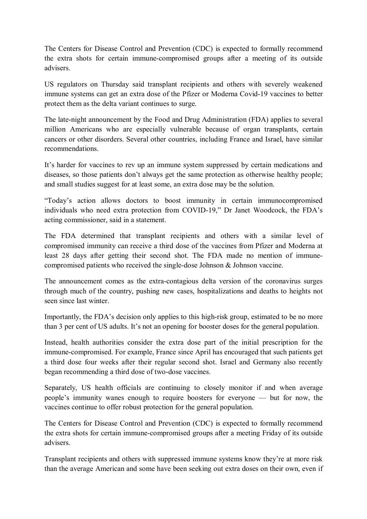The Centers for Disease Control and Prevention (CDC) is expected to formally recommend the extra shots for certain immune-compromised groups after a meeting of its outside advisers.

US regulators on Thursday said transplant recipients and others with severely weakened immune systems can get an extra dose of the Pfizer or Moderna Covid-19 vaccines to better protect them as the delta variant continues to surge.

The late-night announcement by the Food and Drug Administration (FDA) applies to several million Americans who are especially vulnerable because of organ transplants, certain cancers or other disorders. Several other countries, including France and Israel, have similar recommendations.

It's harder for vaccines to rev up an immune system suppressed by certain medications and diseases, so those patients don't always get the same protection as otherwise healthy people; and small studies suggest for at least some, an extra dose may be the solution.

"Today's action allows doctors to boost immunity in certain immunocompromised individuals who need extra protection from COVID-19," Dr Janet Woodcock, the FDA's acting commissioner, said in a statement.

The FDA determined that transplant recipients and others with a similar level of compromised immunity can receive a third dose of the vaccines from Pfizer and Moderna at least 28 days after getting their second shot. The FDA made no mention of immunecompromised patients who received the single-dose Johnson & Johnson vaccine.

The announcement comes as the extra-contagious delta version of the coronavirus surges through much of the country, pushing new cases, hospitalizations and deaths to heights not seen since last winter.

Importantly, the FDA's decision only applies to this high-risk group, estimated to be no more than 3 per cent of US adults. It's not an opening for booster doses for the general population.

Instead, health authorities consider the extra dose part of the initial prescription for the immune-compromised. For example, France since April has encouraged that such patients get a third dose four weeks after their regular second shot. Israel and Germany also recently began recommending a third dose of two-dose vaccines.

Separately, US health officials are continuing to closely monitor if and when average people's immunity wanes enough to require boosters for everyone — but for now, the vaccines continue to offer robust protection for the general population.

The Centers for Disease Control and Prevention (CDC) is expected to formally recommend the extra shots for certain immune-compromised groups after a meeting Friday of its outside advisers.

Transplant recipients and others with suppressed immune systems know they're at more risk than the average American and some have been seeking out extra doses on their own, even if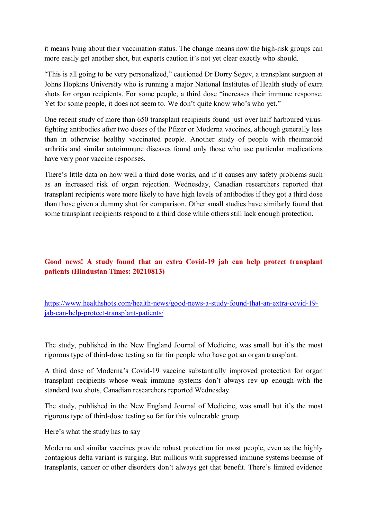it means lying about their vaccination status. The change means now the high-risk groups can more easily get another shot, but experts caution it's not yet clear exactly who should.

"This is all going to be very personalized," cautioned Dr Dorry Segev, a transplant surgeon at Johns Hopkins University who is running a major National Institutes of Health study of extra shots for organ recipients. For some people, a third dose "increases their immune response. Yet for some people, it does not seem to. We don't quite know who's who yet."

One recent study of more than 650 transplant recipients found just over half harboured virusfighting antibodies after two doses of the Pfizer or Moderna vaccines, although generally less than in otherwise healthy vaccinated people. Another study of people with rheumatoid arthritis and similar autoimmune diseases found only those who use particular medications have very poor vaccine responses.

There's little data on how well a third dose works, and if it causes any safety problems such as an increased risk of organ rejection. Wednesday, Canadian researchers reported that transplant recipients were more likely to have high levels of antibodies if they got a third dose than those given a dummy shot for comparison. Other small studies have similarly found that some transplant recipients respond to a third dose while others still lack enough protection.

#### **Good news! A study found that an extra Covid-19 jab can help protect transplant patients (Hindustan Times: 20210813)**

https://www.healthshots.com/health-news/good-news-a-study-found-that-an-extra-covid-19 jab-can-help-protect-transplant-patients/

The study, published in the New England Journal of Medicine, was small but it's the most rigorous type of third-dose testing so far for people who have got an organ transplant.

A third dose of Moderna's Covid-19 vaccine substantially improved protection for organ transplant recipients whose weak immune systems don't always rev up enough with the standard two shots, Canadian researchers reported Wednesday.

The study, published in the New England Journal of Medicine, was small but it's the most rigorous type of third-dose testing so far for this vulnerable group.

Here's what the study has to say

Moderna and similar vaccines provide robust protection for most people, even as the highly contagious delta variant is surging. But millions with suppressed immune systems because of transplants, cancer or other disorders don't always get that benefit. There's limited evidence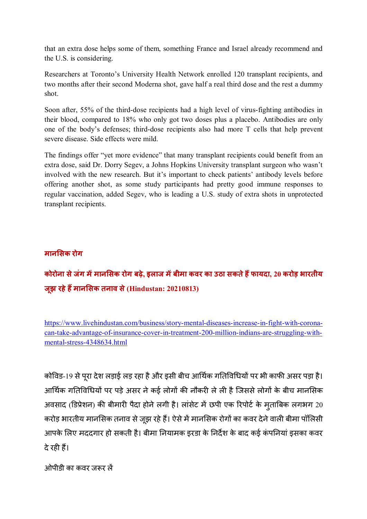that an extra dose helps some of them, something France and Israel already recommend and the U.S. is considering.

Researchers at Toronto's University Health Network enrolled 120 transplant recipients, and two months after their second Moderna shot, gave half a real third dose and the rest a dummy shot.

Soon after, 55% of the third-dose recipients had a high level of virus-fighting antibodies in their blood, compared to 18% who only got two doses plus a placebo. Antibodies are only one of the body's defenses; third-dose recipients also had more T cells that help prevent severe disease. Side effects were mild.

The findings offer "yet more evidence" that many transplant recipients could benefit from an extra dose, said Dr. Dorry Segev, a Johns Hopkins University transplant surgeon who wasn't involved with the new research. But it's important to check patients' antibody levels before offering another shot, as some study participants had pretty good immune responses to regular vaccination, added Segev, who is leading a U.S. study of extra shots in unprotected transplant recipients.

#### **मान&सक रोग**

# **कोरोना सेजंग म,मान&सक रोग बढ़े, इलाज म,बीमा कवर का उठा सकतेह1फायदा, 20 करोड़ भारतीय जूझ रहेह1मान&सक तनाव से (Hindustan: 20210813)**

https://www.livehindustan.com/business/story-mental-diseases-increase-in-fight-with-coronacan-take-advantage-of-insurance-cover-in-treatment-200-million-indians-are-struggling-withmental-stress-4348634.html

कोविड-19 से पूरा देश लड़ाई लड़ रहा है और इसी बीच आर्थिक गतिविधियों पर भी काफी असर पड़ा है। आर्थिक गतिविधियों पर पड़े असर ने कई लोगों की नौकरी ले ली है जिससे लोगों के बीच मानसिक अवसाद (डिप्रेशन) की बीमारी पैदा होने लगी है। लांसेट में छपी एक रिपोर्ट के मुताबिक लगभग 20 करोड़ भारतीय मानसिक तनाव से जूझ रहे हैं। ऐसे में मानसिक रोगों का कवर देने वाली बीमा पॉलिसी आपके लिए मददगार हो सकती है। बीमा नियामक इरडा के निर्देश के बाद कई कंपनियां इसका कवर दे रही हैं।

ओपीडी का कवर जरूर लें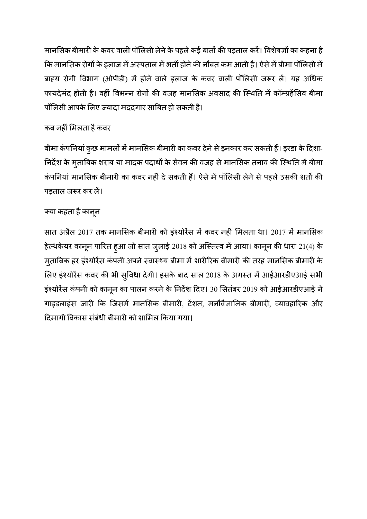मानसिक बीमारी के कवर वाली पॉलिसी लेने के पहले कई बातों की पड़ताल करें। विशेषज्ञों का कहना है कि मानसिक रोगों के इलाज में अस्पताल में भर्ती होने की नौबत कम आती है। ऐसे में बीमा पॉलिसी में बाहय रोगी विभाग (ओपीडी) में होने वाले इलाज के कवर वाली पॉलिसी जरूर लें। यह अधिक फायदेमंद होती है। वहीं विभन्न रोगों की वजह मानसिक अवसाद की स्थिति में कॉम्प्रहेंसिव बीमा पॉलिसी आपके लिए ज्यादा मददगार साबित हो सकती है।

# कब नहीं मिलता है कवर

बीमा कंपनियां कुछ मामलों में मानसिक बीमारी का कवर देने से इनकार कर सकती हैं। इरडा के दिशा-निर्देश के मुताबिक शराब या मादक पदार्थों के सेवन की वजह से मानसिक तनाव की स्थिति में बीमा कंपनियां मानसिक बीमारी का कवर नहीं दे सकती हैं। ऐसे में पॉलिसी लेने से पहले उसकी शर्तों की पड़ताल जरूर कर लें।

# क्या कहता है कानून

सात अप्रैल 2017 तक मानसिक बीमारी को इंश्योरेंस में कवर नहीं मिलता था। 2017 में मानसिक हेल्थकेयर कानून पारित हुआ जो सात जुलाई 2018 को अस्तित्व में आया। कानून की धारा 21(4) के मुताबिक हर इंश्योरेंस कंपनी अपने स्वास्थ्य बीमा में शारीरिक बीमारी की तरह मानसिक बीमारी के लिए इंश्योरेंस कवर की भी सुविधा देगी। इसके बाद साल 2018 के अगस्त में आईआरडीएआई सभी इंश्योरेंस कंपनी को कानून का पालन करने के निर्देश दिए। 30 सितंबर 2019 को आईआरडीएआई ने गाइडलाइंस जारी कि जिसमें मानसिक बीमारी, टेंशन, मनौवैज्ञानिक बीमारी, व्यावहारिक और दिमागी विकास संबंधी बीमारी को शामिल किया गया।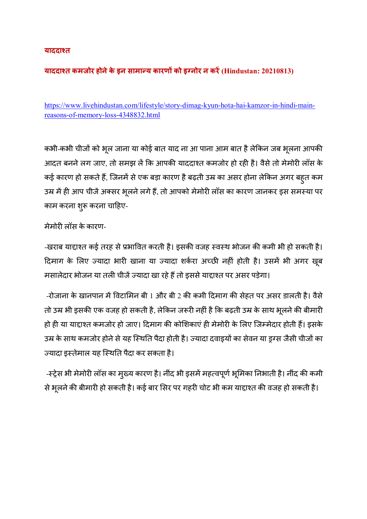#### **याददा5त**

#### **याददा5त कमजोर होनेके इन सामा6य कारण8 को इ9नोर न कर, (Hindustan: 20210813)**

https://www.livehindustan.com/lifestyle/story-dimag-kyun-hota-hai-kamzor-in-hindi-mainreasons-of-memory-loss-4348832.html

कभी-कभी चीजों को भूल जाना या कोई बात याद ना आ पाना आम बात है लेकिन जब भूलना आपकी आदत बनने लग जाए, तो समझ लें कि आपकी याददाश्त कमजोर हो रही है। वैसे तो मेमोरी लॉस के कई कारण हो सकते हैं, जिनमें से एक बड़ा कारण है बढ़ती उम्र का असर होना लेकिन अगर बहुत कम उम्र में ही आप चीजें अक्सर भूलने लगे हैं, तो आपको मेमोरी लॉस का कारण जानकर इस समस्या पर काम करना शुरू करना चाहिए-

#### मेमोरी लॉस के कारण-

-खराब याद्दाश्त कई तरह से प्रभावित करती है। इसकी वजह स्वस्थ भोजन की कमी भी हो सकती है। दिमाग के लिए ज्यादा भारी खाना या ज्यादा शर्करा अच्छी नहीं होती है। उसमें भी अगर खूब मसालेदार भोजन या तली चीजें ज्यादा खा रहे हैं तो इससे याद्दाश्त पर असर पड़ेगा।

-रोजाना के खानपान में विटामिन बी 1 और बी 2 की कमी दिमाग की सेहत पर असर डालती है। वैसे तो उम्र भी इसकी एक वजह हो सकती है, लेकिन जरूरी नहीं है कि बढ़ती उम्र के साथ भूलने की बीमारी हो ही या याद्दाश्त कमजोर हो जाए। दिमाग की कोशिकाएं ही मेमोरी के लिए जिम्मेदार होती हैं। इसके उम्र के साथ कमजोर होने से यह स्थिति पैदा होती है। ज्यादा दवाइयों का सेवन या इग्स जैसी चीजों का ज्यादा इस्तेमाल यह स्थिति पैदा कर सकता है।

-स्ट्रेस भी मेमोरी लॉस का मुख्य कारण है। नींद भी इसमें महत्वपूर्ण भूमिका निभाती है। नींद की कमी से भूलने की बीमारी हो सकती है। कई बार सिर पर गहरी चोट भी कम याद्दाश्त की वजह हो सकती है।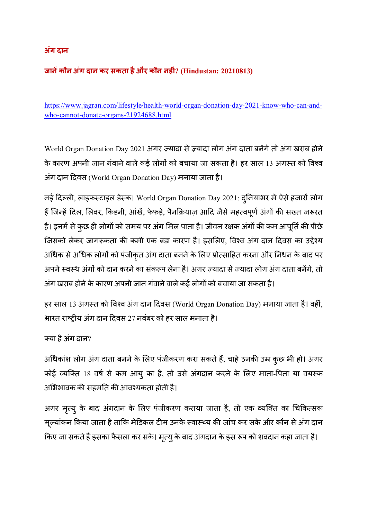#### **अंग दान**

### **जान,कौन अंग दान कर सकता हैऔर कौन नहं? (Hindustan: 20210813)**

https://www.jagran.com/lifestyle/health-world-organ-donation-day-2021-know-who-can-andwho-cannot-donate-organs-21924688.html

World Organ Donation Day 2021 अगर ज़्यादा से ज़्यादा लोग अंग दाता बनेंगे तो अंग खराब होने के कारण अपनी जान गंवाने वाले कई लोगों को बचाया जा सकता है। हर साल 13 अगस्त को विश्व अंग दान दवस (World Organ Donation Day) मनाया जाता है।

नई दिल्ली, लाइफस्टाइल डेस्क। World Organ Donation Day 2021: दुनियाभर में ऐसे हज़ारों लोग हैं जिन्हें दिल, लिवर, किडनी, आंखें, फेफड़े, पैनक्रियाज़ आदि जैसे महत्वपूर्ण अंगों की सख्त जरूरत है। इनमें से कुछ ही लोगों को समय पर अंग मिल पाता है। जीवन रक्षक अंगों की कम आपूर्ति की पीछे जिसको लेकर जागरूकता की कमी एक बड़ा कारण है। इसलिए, विश्व अंग दान दिवस का उद्देश्य अधिक से अधिक लोगों को पंजीकृत अंग दाता बनने के लिए प्रोत्साहित करना और निधन के बाद पर अपने स्वस्थ अंगों को दान करने का संकल्प लेना है। अगर ज़्यादा से ज़्यादा लोग अंग दाता बनेंगे, तो अंग खराब होने के कारण अपनी जान गंवाने वाले कई लोगों को बचाया जा सकता है।

हर साल 13 अगस्त को विश्व अंग दान दिवस (World Organ Donation Day) मनाया जाता है। वहीं, भारत राष्ट्रीय अंग दान दिवस 27 नवंबर को हर साल मनाता है।

क्या है अंग दान?

अधिकांश लोग अंग दाता बनने के लिए पंजीकरण करा सकते हैं, चाहे उनकी उम्र कुछ भी हो। अगर कोई व्यक्ति 18 वर्ष से कम आयु का है, तो उसे अंगदान करने के लिए माता-पिता या वयस्क अभिभावक की सहमति की आवश्यकता होती है।

अगर मृत्यु के बाद अंगदान के लिए पंजीकरण कराया जाता है, तो एक व्यक्ति का चिकित्सक मूल्यांकन किया जाता है ताकि मेडिकल टीम उनके स्वास्थ्य की जांच कर सके और कौन से अंग दान किए जा सकते हैं इसका फैसला कर सके। मृत्यु के बाद अंगदान के इस रूप को शवदान कहा जाता है।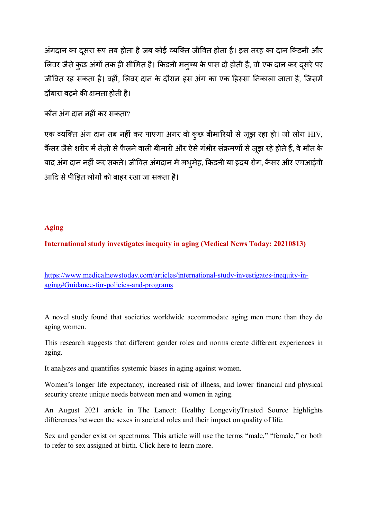अंगदान का दुसरा रूप तब होता है जब कोई व्यक्ति जीवित होता है। इस तरह का दान किडनी और लिवर जैसे कुछ अंगों तक ही सीमित है। किडनी मनुष्य के पास दो होती है, वो एक दान कर दूसरे पर जीवित रह सकता है। वहीं, लिवर दान के दौरान इस अंग का एक हिस्सा निकाला जाता है, जिसमें दौबारा बढ़ने की क्षमता होती है।

#### कौन अंग दान नहीं कर सकता?

एक व्यक्ति अंग दान तब नहीं कर पाएगा अगर वो कुछ बीमारियों से जूझ रहा हो। जो लोग HIV, कैंसर जैसे शरीर में तेज़ी से फैलने वाली बीमारी और ऐसे गंभीर संक्रमणों से जूझ रहे होते हैं, वे मौत के बाद अंग दान नहीं कर सकते। जीवित अंगदान में मधुमेह, किडनी या हृदय रोग, कैंसर और एचआईवी आदि से पीड़ित लोगों को बाहर रखा जा सकता है।

#### **Aging**

#### **International study investigates inequity in aging (Medical News Today: 20210813)**

https://www.medicalnewstoday.com/articles/international-study-investigates-inequity-inaging#Guidance-for-policies-and-programs

A novel study found that societies worldwide accommodate aging men more than they do aging women.

This research suggests that different gender roles and norms create different experiences in aging.

It analyzes and quantifies systemic biases in aging against women.

Women's longer life expectancy, increased risk of illness, and lower financial and physical security create unique needs between men and women in aging.

An August 2021 article in The Lancet: Healthy LongevityTrusted Source highlights differences between the sexes in societal roles and their impact on quality of life.

Sex and gender exist on spectrums. This article will use the terms "male," "female," or both to refer to sex assigned at birth. Click here to learn more.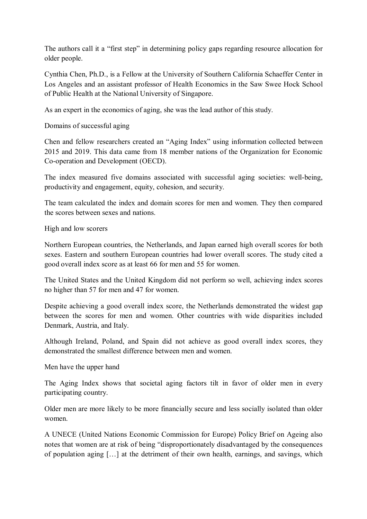The authors call it a "first step" in determining policy gaps regarding resource allocation for older people.

Cynthia Chen, Ph.D., is a Fellow at the University of Southern California Schaeffer Center in Los Angeles and an assistant professor of Health Economics in the Saw Swee Hock School of Public Health at the National University of Singapore.

As an expert in the economics of aging, she was the lead author of this study.

Domains of successful aging

Chen and fellow researchers created an "Aging Index" using information collected between 2015 and 2019. This data came from 18 member nations of the Organization for Economic Co-operation and Development (OECD).

The index measured five domains associated with successful aging societies: well-being, productivity and engagement, equity, cohesion, and security.

The team calculated the index and domain scores for men and women. They then compared the scores between sexes and nations.

High and low scorers

Northern European countries, the Netherlands, and Japan earned high overall scores for both sexes. Eastern and southern European countries had lower overall scores. The study cited a good overall index score as at least 66 for men and 55 for women.

The United States and the United Kingdom did not perform so well, achieving index scores no higher than 57 for men and 47 for women.

Despite achieving a good overall index score, the Netherlands demonstrated the widest gap between the scores for men and women. Other countries with wide disparities included Denmark, Austria, and Italy.

Although Ireland, Poland, and Spain did not achieve as good overall index scores, they demonstrated the smallest difference between men and women.

Men have the upper hand

The Aging Index shows that societal aging factors tilt in favor of older men in every participating country.

Older men are more likely to be more financially secure and less socially isolated than older women.

A UNECE (United Nations Economic Commission for Europe) Policy Brief on Ageing also notes that women are at risk of being "disproportionately disadvantaged by the consequences of population aging […] at the detriment of their own health, earnings, and savings, which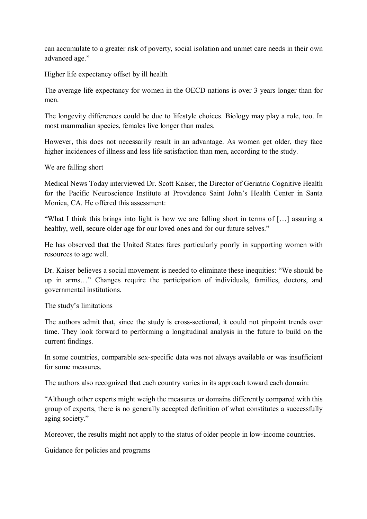can accumulate to a greater risk of poverty, social isolation and unmet care needs in their own advanced age."

Higher life expectancy offset by ill health

The average life expectancy for women in the OECD nations is over 3 years longer than for men.

The longevity differences could be due to lifestyle choices. Biology may play a role, too. In most mammalian species, females live longer than males.

However, this does not necessarily result in an advantage. As women get older, they face higher incidences of illness and less life satisfaction than men, according to the study.

We are falling short

Medical News Today interviewed Dr. Scott Kaiser, the Director of Geriatric Cognitive Health for the Pacific Neuroscience Institute at Providence Saint John's Health Center in Santa Monica, CA. He offered this assessment:

"What I think this brings into light is how we are falling short in terms of […] assuring a healthy, well, secure older age for our loved ones and for our future selves."

He has observed that the United States fares particularly poorly in supporting women with resources to age well.

Dr. Kaiser believes a social movement is needed to eliminate these inequities: "We should be up in arms…" Changes require the participation of individuals, families, doctors, and governmental institutions.

The study's limitations

The authors admit that, since the study is cross-sectional, it could not pinpoint trends over time. They look forward to performing a longitudinal analysis in the future to build on the current findings.

In some countries, comparable sex-specific data was not always available or was insufficient for some measures.

The authors also recognized that each country varies in its approach toward each domain:

"Although other experts might weigh the measures or domains differently compared with this group of experts, there is no generally accepted definition of what constitutes a successfully aging society."

Moreover, the results might not apply to the status of older people in low-income countries.

Guidance for policies and programs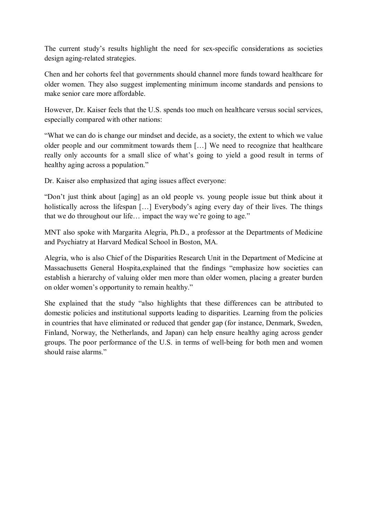The current study's results highlight the need for sex-specific considerations as societies design aging-related strategies.

Chen and her cohorts feel that governments should channel more funds toward healthcare for older women. They also suggest implementing minimum income standards and pensions to make senior care more affordable.

However, Dr. Kaiser feels that the U.S. spends too much on healthcare versus social services, especially compared with other nations:

"What we can do is change our mindset and decide, as a society, the extent to which we value older people and our commitment towards them […] We need to recognize that healthcare really only accounts for a small slice of what's going to yield a good result in terms of healthy aging across a population."

Dr. Kaiser also emphasized that aging issues affect everyone:

"Don't just think about [aging] as an old people vs. young people issue but think about it holistically across the lifespan [...] Everybody's aging every day of their lives. The things that we do throughout our life… impact the way we're going to age."

MNT also spoke with Margarita Alegria, Ph.D., a professor at the Departments of Medicine and Psychiatry at Harvard Medical School in Boston, MA.

Alegria, who is also Chief of the Disparities Research Unit in the Department of Medicine at Massachusetts General Hospita,explained that the findings "emphasize how societies can establish a hierarchy of valuing older men more than older women, placing a greater burden on older women's opportunity to remain healthy."

She explained that the study "also highlights that these differences can be attributed to domestic policies and institutional supports leading to disparities. Learning from the policies in countries that have eliminated or reduced that gender gap (for instance, Denmark, Sweden, Finland, Norway, the Netherlands, and Japan) can help ensure healthy aging across gender groups. The poor performance of the U.S. in terms of well-being for both men and women should raise alarms."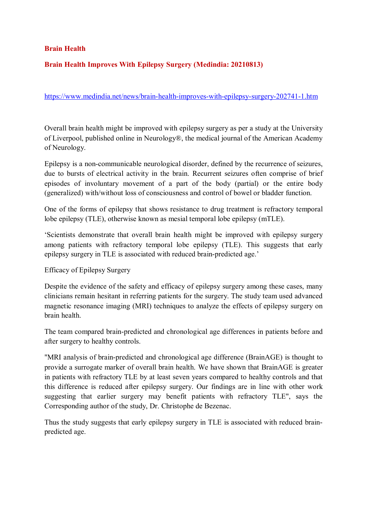#### **Brain Health**

#### **Brain Health Improves With Epilepsy Surgery (Medindia: 20210813)**

#### https://www.medindia.net/news/brain-health-improves-with-epilepsy-surgery-202741-1.htm

Overall brain health might be improved with epilepsy surgery as per a study at the University of Liverpool, published online in Neurology®, the medical journal of the American Academy of Neurology.

Epilepsy is a non-communicable neurological disorder, defined by the recurrence of seizures, due to bursts of electrical activity in the brain. Recurrent seizures often comprise of brief episodes of involuntary movement of a part of the body (partial) or the entire body (generalized) with/without loss of consciousness and control of bowel or bladder function.

One of the forms of epilepsy that shows resistance to drug treatment is refractory temporal lobe epilepsy (TLE), otherwise known as mesial temporal lobe epilepsy (mTLE).

'Scientists demonstrate that overall brain health might be improved with epilepsy surgery among patients with refractory temporal lobe epilepsy (TLE). This suggests that early epilepsy surgery in TLE is associated with reduced brain-predicted age.'

Efficacy of Epilepsy Surgery

Despite the evidence of the safety and efficacy of epilepsy surgery among these cases, many clinicians remain hesitant in referring patients for the surgery. The study team used advanced magnetic resonance imaging (MRI) techniques to analyze the effects of epilepsy surgery on brain health.

The team compared brain-predicted and chronological age differences in patients before and after surgery to healthy controls.

"MRI analysis of brain-predicted and chronological age difference (BrainAGE) is thought to provide a surrogate marker of overall brain health. We have shown that BrainAGE is greater in patients with refractory TLE by at least seven years compared to healthy controls and that this difference is reduced after epilepsy surgery. Our findings are in line with other work suggesting that earlier surgery may benefit patients with refractory TLE", says the Corresponding author of the study, Dr. Christophe de Bezenac.

Thus the study suggests that early epilepsy surgery in TLE is associated with reduced brainpredicted age.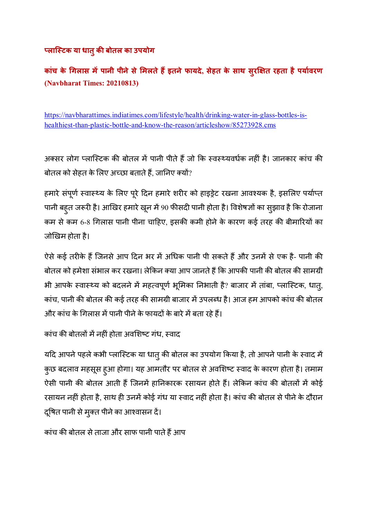# **<लाि(टक या धातुक बोतल का उपयोग**

**कांच के >गलास म,पानी पीनेसे&मलतेह1इतनेफायदे, सेहत के साथ सुर@Aत रहता हैपयाBवरण (Navbharat Times: 20210813)** 

https://navbharattimes.indiatimes.com/lifestyle/health/drinking-water-in-glass-bottles-ishealthiest-than-plastic-bottle-and-know-the-reason/articleshow/85273928.cms

अक्सर लोग प्लास्टिक की बोतल में पानी पीते हैं जो कि स्वस्थ्यवर्धक नहीं है। जानकार कांच की बोतल को सेहत के लिए अच्छा बताते हैं, जानिए क्यों?

हमारे संपूर्ण स्वास्थ्य के लिए पूरे दिन हमारे शरीर को हाइड्रेट रखना आवश्यक है, इसलिए पर्याप्त पानी बहुत जरूरी है। आखिर हमारे खून में 90 फीसदी पानी होता है। विशेषज्ञों का सुझाव है कि रोजाना कम से कम 6-8 गिलास पानी पीना चाहिए, इसकी कमी होने के कारण कई तरह की बीमारियों का जोखिम होता है।

ऐसे कई तरीके हैं जिनसे आप दिन भर में अधिक पानी पी सकते हैं और उनमें से एक है- पानी की बोतल को हमेशा संभाल कर रखना। लेकिन क्या आप जानते हैं कि आपकी पानी की बोतल की सामग्री भी आपके स्वास्थ्य को बदलने में महत्वपूर्ण भूमिका निभाती है? बाजार में तांबा, प्लास्टिक, धातु, कांच, पानी की बोतल की कई तरह की सामग्री बाजार में उपलब्ध है। आज हम आपको कांच की बोतल और कांच के गिलास में पानी पीने के फायदों के बारे में बता रहे हैं।

कांच की बोतलों में नहीं होता अवशिष्ट गंध, स्वाद

यदि आपने पहले कभी प्लास्टिक या धातु की बोतल का उपयोग किया है, तो आपने पानी के स्वाद में कुछ बदलाव महसूस हुआ होगा। यह आमतौर पर बोतल से अवशिष्ट स्वाद के कारण होता है। तमाम ऐसी पानी की बोतल आती हैं जिनमें हानिकारक रसायन होते हैं। लेकिन कांच की बोतलों में कोई रसायन नहीं होता है, साथ ही उनमें कोई गंध या स्वाद नहीं होता है। कांच की बोतल से पीने के दौरान दूषित पानी से मुक्त पीने का आश्वासन दें।

कांच की बोतल से ताजा और साफ पानी पाते हैं आप